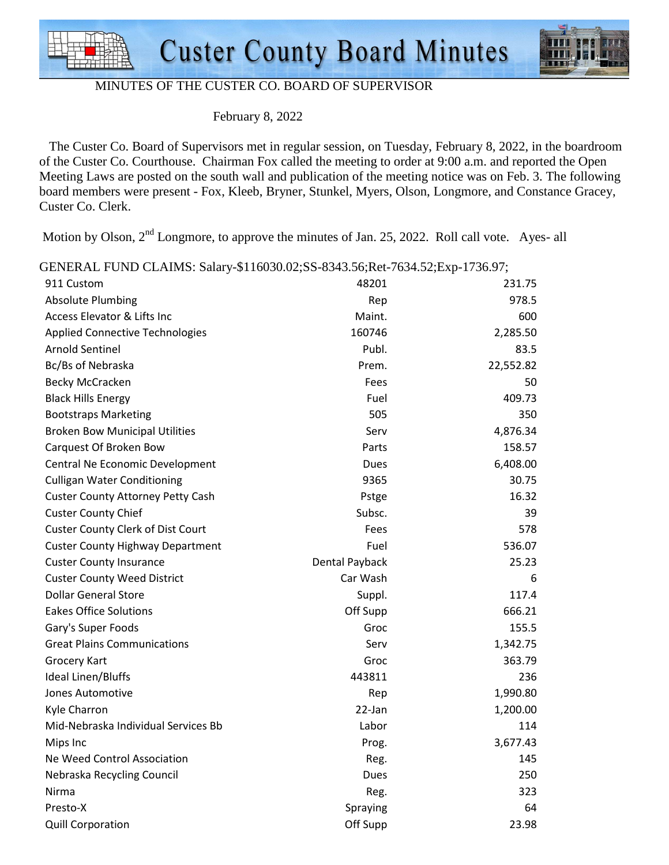



### MINUTES OF THE CUSTER CO. BOARD OF SUPERVISOR

February 8, 2022

 The Custer Co. Board of Supervisors met in regular session, on Tuesday, February 8, 2022, in the boardroom of the Custer Co. Courthouse. Chairman Fox called the meeting to order at 9:00 a.m. and reported the Open Meeting Laws are posted on the south wall and publication of the meeting notice was on Feb. 3. The following board members were present - Fox, Kleeb, Bryner, Stunkel, Myers, Olson, Longmore, and Constance Gracey, Custer Co. Clerk.

Motion by Olson,  $2<sup>nd</sup>$  Longmore, to approve the minutes of Jan. 25, 2022. Roll call vote. Ayes- all

GENERAL FUND CLAIMS: Salary-\$116030.02;SS-8343.56;Ret-7634.52;Exp-1736.97;

| 911 Custom                               | 48201          | 231.75    |
|------------------------------------------|----------------|-----------|
| <b>Absolute Plumbing</b>                 | Rep            | 978.5     |
| Access Elevator & Lifts Inc              | Maint.         | 600       |
| <b>Applied Connective Technologies</b>   | 160746         | 2,285.50  |
| <b>Arnold Sentinel</b>                   | Publ.          | 83.5      |
| Bc/Bs of Nebraska                        | Prem.          | 22,552.82 |
| <b>Becky McCracken</b>                   | Fees           | 50        |
| <b>Black Hills Energy</b>                | Fuel           | 409.73    |
| <b>Bootstraps Marketing</b>              | 505            | 350       |
| <b>Broken Bow Municipal Utilities</b>    | Serv           | 4,876.34  |
| Carquest Of Broken Bow                   | Parts          | 158.57    |
| Central Ne Economic Development          | Dues           | 6,408.00  |
| <b>Culligan Water Conditioning</b>       | 9365           | 30.75     |
| <b>Custer County Attorney Petty Cash</b> | Pstge          | 16.32     |
| <b>Custer County Chief</b>               | Subsc.         | 39        |
| <b>Custer County Clerk of Dist Court</b> | Fees           | 578       |
| <b>Custer County Highway Department</b>  | Fuel           | 536.07    |
| <b>Custer County Insurance</b>           | Dental Payback | 25.23     |
| <b>Custer County Weed District</b>       | Car Wash       | 6         |
| <b>Dollar General Store</b>              | Suppl.         | 117.4     |
| <b>Eakes Office Solutions</b>            | Off Supp       | 666.21    |
| Gary's Super Foods                       | Groc           | 155.5     |
| <b>Great Plains Communications</b>       | Serv           | 1,342.75  |
| Grocery Kart                             | Groc           | 363.79    |
| <b>Ideal Linen/Bluffs</b>                | 443811         | 236       |
| Jones Automotive                         | Rep            | 1,990.80  |
| Kyle Charron                             | 22-Jan         | 1,200.00  |
| Mid-Nebraska Individual Services Bb      | Labor          | 114       |
| Mips Inc                                 | Prog.          | 3,677.43  |
| Ne Weed Control Association              | Reg.           | 145       |
| Nebraska Recycling Council               | Dues           | 250       |
| Nirma                                    | Reg.           | 323       |
| Presto-X                                 | Spraying       | 64        |
| <b>Quill Corporation</b>                 | Off Supp       | 23.98     |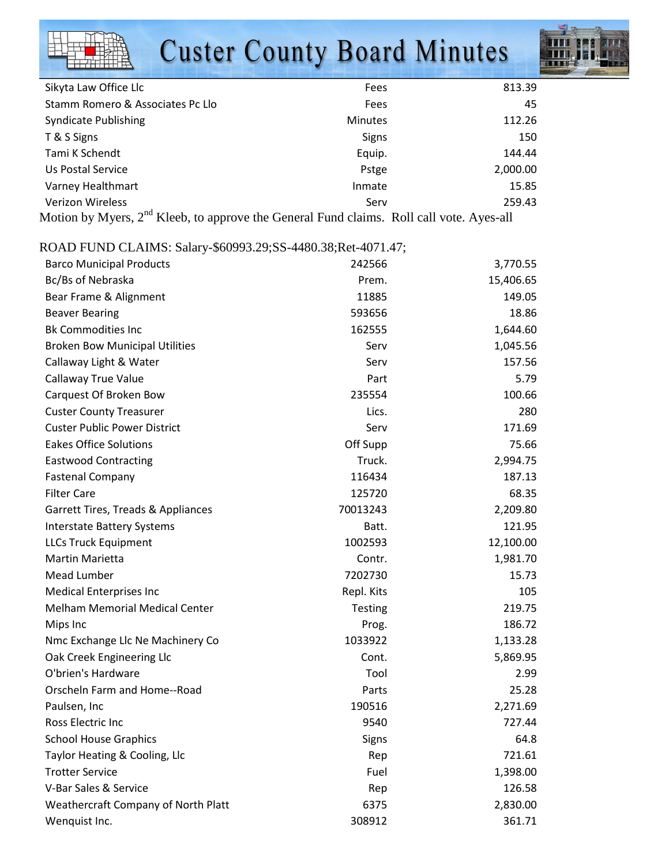# **Custer County Board Minutes**



| Sikyta Law Office Llc                                                                                | Fees           | 813.39   |
|------------------------------------------------------------------------------------------------------|----------------|----------|
| Stamm Romero & Associates Pc Llo                                                                     | Fees           | 45       |
| <b>Syndicate Publishing</b>                                                                          | <b>Minutes</b> | 112.26   |
| T & S Signs                                                                                          | <b>Signs</b>   | 150      |
| Tami K Schendt                                                                                       | Equip.         | 144.44   |
| Us Postal Service                                                                                    | Pstge          | 2,000.00 |
| Varney Healthmart                                                                                    | Inmate         | 15.85    |
| <b>Verizon Wireless</b>                                                                              | Serv           | 259.43   |
| Motion by Myers, 2 <sup>nd</sup> Kleeb, to approve the General Fund claims. Roll call vote. Ayes-all |                |          |

### ROAD FUND CLAIMS: Salary-\$60993.29;SS-4480.38;Ret-4071.47;

| <b>Barco Municipal Products</b>       | 242566         | 3,770.55  |
|---------------------------------------|----------------|-----------|
| Bc/Bs of Nebraska                     | Prem.          | 15,406.65 |
| Bear Frame & Alignment                | 11885          | 149.05    |
| <b>Beaver Bearing</b>                 | 593656         | 18.86     |
| <b>Bk Commodities Inc</b>             | 162555         | 1,644.60  |
| <b>Broken Bow Municipal Utilities</b> | Serv           | 1,045.56  |
| Callaway Light & Water                | Serv           | 157.56    |
| Callaway True Value                   | Part           | 5.79      |
| Carquest Of Broken Bow                | 235554         | 100.66    |
| <b>Custer County Treasurer</b>        | Lics.          | 280       |
| <b>Custer Public Power District</b>   | Serv           | 171.69    |
| <b>Eakes Office Solutions</b>         | Off Supp       | 75.66     |
| <b>Eastwood Contracting</b>           | Truck.         | 2,994.75  |
| <b>Fastenal Company</b>               | 116434         | 187.13    |
| <b>Filter Care</b>                    | 125720         | 68.35     |
| Garrett Tires, Treads & Appliances    | 70013243       | 2,209.80  |
| <b>Interstate Battery Systems</b>     | Batt.          | 121.95    |
| <b>LLCs Truck Equipment</b>           | 1002593        | 12,100.00 |
| <b>Martin Marietta</b>                | Contr.         | 1,981.70  |
| Mead Lumber                           | 7202730        | 15.73     |
| <b>Medical Enterprises Inc</b>        | Repl. Kits     | 105       |
| <b>Melham Memorial Medical Center</b> | <b>Testing</b> | 219.75    |
| Mips Inc                              | Prog.          | 186.72    |
| Nmc Exchange Llc Ne Machinery Co      | 1033922        | 1,133.28  |
| Oak Creek Engineering Llc             | Cont.          | 5,869.95  |
| O'brien's Hardware                    | Tool           | 2.99      |
| Orscheln Farm and Home--Road          | Parts          | 25.28     |
| Paulsen, Inc                          | 190516         | 2,271.69  |
| Ross Electric Inc                     | 9540           | 727.44    |
| <b>School House Graphics</b>          | Signs          | 64.8      |
| Taylor Heating & Cooling, Llc         | Rep            | 721.61    |
| <b>Trotter Service</b>                | Fuel           | 1,398.00  |
| V-Bar Sales & Service                 | Rep            | 126.58    |
| Weathercraft Company of North Platt   | 6375           | 2,830.00  |
| Wenquist Inc.                         | 308912         | 361.71    |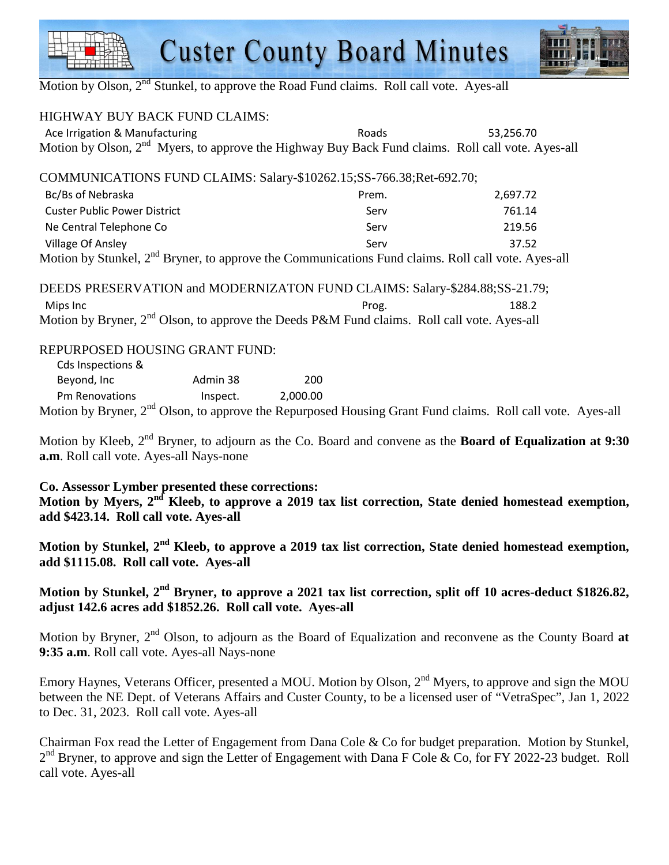## **Custer County Board Minutes**



Motion by Olson,  $2<sup>nd</sup>$  Stunkel, to approve the Road Fund claims. Roll call vote. Ayes-all

| <b>HIGHWAY BUY BACK FUND CLAIMS:</b>                                                                           |       |           |
|----------------------------------------------------------------------------------------------------------------|-------|-----------|
| Ace Irrigation & Manufacturing                                                                                 | Roads | 53,256.70 |
| Motion by Olson, 2 <sup>nd</sup> Myers, to approve the Highway Buy Back Fund claims. Roll call vote. Ayes-all  |       |           |
| COMMUNICATIONS FUND CLAIMS: Salary-\$10262.15;SS-766.38;Ret-692.70;                                            |       |           |
| Bc/Bs of Nebraska                                                                                              | Prem. | 2,697.72  |
| <b>Custer Public Power District</b>                                                                            | Serv  | 761.14    |
| Ne Central Telephone Co                                                                                        | Serv  | 219.56    |
| Village Of Ansley                                                                                              | Serv  | 37.52     |
| Motion by Stunkel, 2 <sup>nd</sup> Bryner, to approve the Communications Fund claims. Roll call vote. Ayes-all |       |           |
| DEEDS PRESERVATION and MODERNIZATON FUND CLAIMS: Salary-\$284.88;SS-21.79;                                     |       |           |
| Mips Inc                                                                                                       | Prog. | 188.2     |
| Motion by Bryner, 2 <sup>nd</sup> Olson, to approve the Deeds P&M Fund claims. Roll call vote. Ayes-all        |       |           |
| REPURPOSED HOUSING GRANT FUND:<br>Cds Inspections &                                                            |       |           |

| $\sim$ nd $\sim$<br>$\mathbf{r}$<br>$\sqrt{ }$ |          |          |  |
|------------------------------------------------|----------|----------|--|
| <b>Pm Renovations</b>                          | Inspect. | 2,000.00 |  |
| Beyond, Inc                                    | Admin 38 | 200      |  |
| <b>CAS ILISPECTIONS</b>                        |          |          |  |

Motion by Bryner, 2<sup>nd</sup> Olson, to approve the Repurposed Housing Grant Fund claims. Roll call vote. Ayes-all

Motion by Kleeb, 2nd Bryner, to adjourn as the Co. Board and convene as the **Board of Equalization at 9:30 a.m**. Roll call vote. Ayes-all Nays-none

### **Co. Assessor Lymber presented these corrections:**

**Motion by Myers, 2nd Kleeb, to approve a 2019 tax list correction, State denied homestead exemption, add \$423.14. Roll call vote. Ayes-all** 

**Motion by Stunkel, 2nd Kleeb, to approve a 2019 tax list correction, State denied homestead exemption, add \$1115.08. Roll call vote. Ayes-all** 

### **Motion by Stunkel, 2nd Bryner, to approve a 2021 tax list correction, split off 10 acres-deduct \$1826.82, adjust 142.6 acres add \$1852.26. Roll call vote. Ayes-all**

Motion by Bryner, 2<sup>nd</sup> Olson, to adjourn as the Board of Equalization and reconvene as the County Board **at 9:35 a.m**. Roll call vote. Ayes-all Nays-none

Emory Haynes, Veterans Officer, presented a MOU. Motion by Olson, 2<sup>nd</sup> Myers, to approve and sign the MOU between the NE Dept. of Veterans Affairs and Custer County, to be a licensed user of "VetraSpec", Jan 1, 2022 to Dec. 31, 2023. Roll call vote. Ayes-all

Chairman Fox read the Letter of Engagement from Dana Cole & Co for budget preparation. Motion by Stunkel, 2<sup>nd</sup> Bryner, to approve and sign the Letter of Engagement with Dana F Cole & Co, for FY 2022-23 budget. Roll call vote. Ayes-all